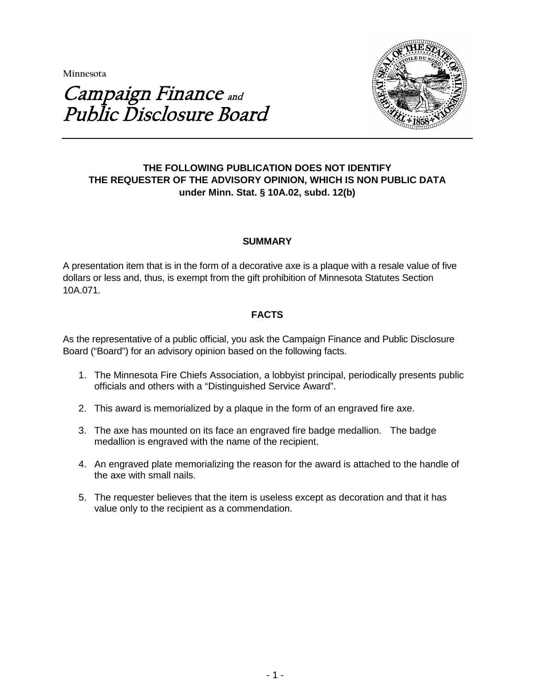**Minnesota** 



# Campaign Finance and Public Disclosure Board

# **THE FOLLOWING PUBLICATION DOES NOT IDENTIFY THE REQUESTER OF THE ADVISORY OPINION, WHICH IS NON PUBLIC DATA under Minn. Stat. § 10A.02, subd. 12(b)**

# **SUMMARY**

A presentation item that is in the form of a decorative axe is a plaque with a resale value of five dollars or less and, thus, is exempt from the gift prohibition of Minnesota Statutes Section 10A.071.

# **FACTS**

As the representative of a public official, you ask the Campaign Finance and Public Disclosure Board ("Board") for an advisory opinion based on the following facts.

- 1. The Minnesota Fire Chiefs Association, a lobbyist principal, periodically presents public officials and others with a "Distinguished Service Award".
- 2. This award is memorialized by a plaque in the form of an engraved fire axe.
- 3. The axe has mounted on its face an engraved fire badge medallion. The badge medallion is engraved with the name of the recipient.
- 4. An engraved plate memorializing the reason for the award is attached to the handle of the axe with small nails.
- 5. The requester believes that the item is useless except as decoration and that it has value only to the recipient as a commendation.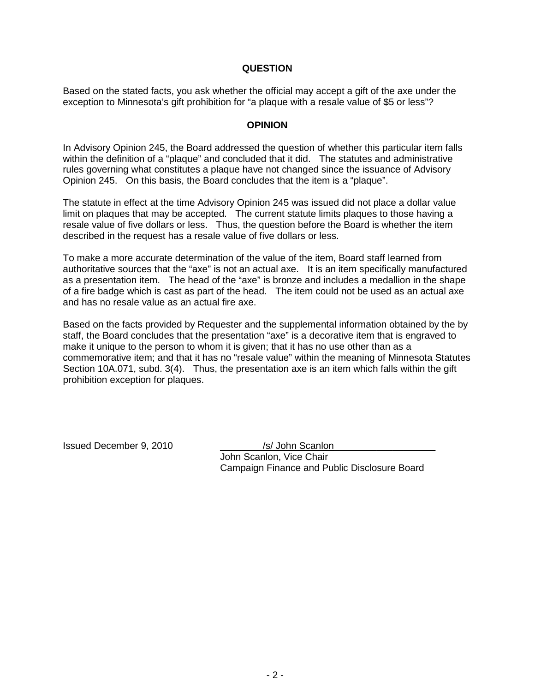#### **QUESTION**

Based on the stated facts, you ask whether the official may accept a gift of the axe under the exception to Minnesota's gift prohibition for "a plaque with a resale value of \$5 or less"?

#### **OPINION**

In Advisory Opinion 245, the Board addressed the question of whether this particular item falls within the definition of a "plaque" and concluded that it did. The statutes and administrative rules governing what constitutes a plaque have not changed since the issuance of Advisory Opinion 245. On this basis, the Board concludes that the item is a "plaque".

The statute in effect at the time Advisory Opinion 245 was issued did not place a dollar value limit on plaques that may be accepted. The current statute limits plaques to those having a resale value of five dollars or less. Thus, the question before the Board is whether the item described in the request has a resale value of five dollars or less.

To make a more accurate determination of the value of the item, Board staff learned from authoritative sources that the "axe" is not an actual axe. It is an item specifically manufactured as a presentation item. The head of the "axe" is bronze and includes a medallion in the shape of a fire badge which is cast as part of the head. The item could not be used as an actual axe and has no resale value as an actual fire axe.

Based on the facts provided by Requester and the supplemental information obtained by the by staff, the Board concludes that the presentation "axe" is a decorative item that is engraved to make it unique to the person to whom it is given; that it has no use other than as a commemorative item; and that it has no "resale value" within the meaning of Minnesota Statutes Section 10A.071, subd. 3(4). Thus, the presentation axe is an item which falls within the gift prohibition exception for plaques.

Issued December 9, 2010 \_\_\_\_\_\_\_\_/s/ John Scanlon\_\_\_\_\_\_\_\_\_\_\_\_\_\_\_\_\_\_\_

John Scanlon, Vice Chair Campaign Finance and Public Disclosure Board